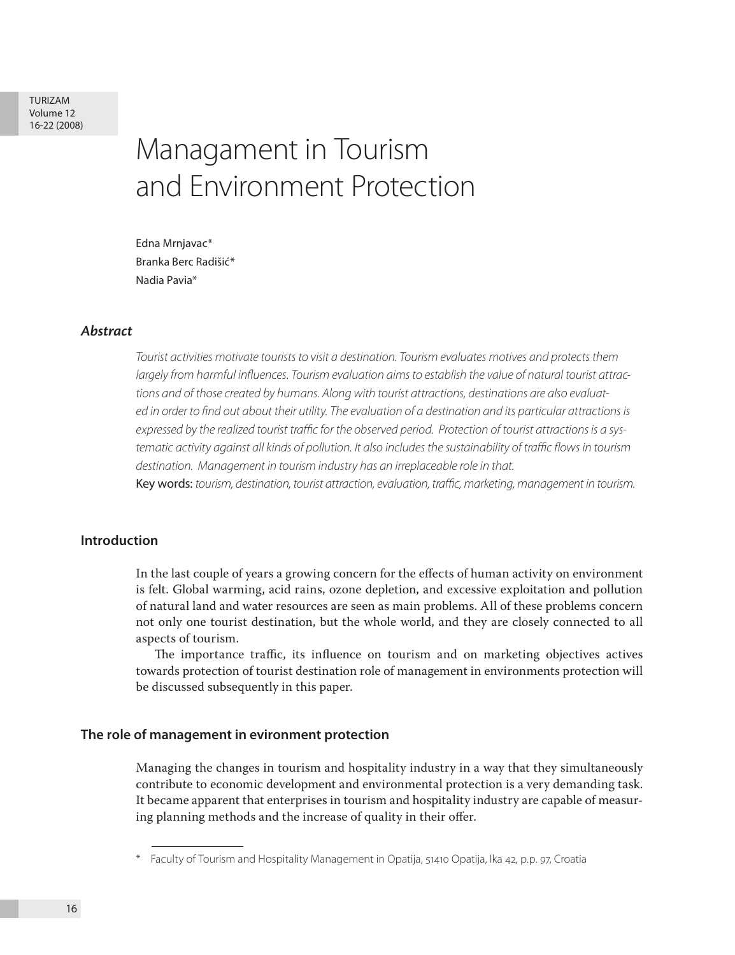# Managament in Tourism and Environment Protection

Edna Mrnjavac\* Branka Berc Radišić\* Nadia Pavia\*

# *Abstract*

*Tourist activities motivate tourists to visit a destination. Tourism evaluates motives and protects them largely from harmful influences. Tourism evaluation aims to establish the value of natural tourist attractions and of those created by humans. Along with tourist attractions, destinations are also evaluated in order to find out about their utility. The evaluation of a destination and its particular attractions is expressed by the realized tourist traffic for the observed period. Protection of tourist attractions is a systematic activity against all kinds of pollution. It also includes the sustainability of traffic flows in tourism destination. Management in tourism industry has an irreplaceable role in that.*

Key words: *tourism, destination, tourist attraction, evaluation, traffic, marketing, management in tourism.* 

# **Introduction**

In the last couple of years a growing concern for the effects of human activity on environment is felt. Global warming, acid rains, ozone depletion, and excessive exploitation and pollution of natural land and water resources are seen as main problems. All of these problems concern not only one tourist destination, but the whole world, and they are closely connected to all aspects of tourism.

The importance traffic, its influence on tourism and on marketing objectives actives towards protection of tourist destination role of management in environments protection will be discussed subsequently in this paper.

#### **The role of management in evironment protection**

Managing the changes in tourism and hospitality industry in a way that they simultaneously contribute to economic development and environmental protection is a very demanding task. It became apparent that enterprises in tourism and hospitality industry are capable of measuring planning methods and the increase of quality in their offer.

Faculty of Tourism and Hospitality Management in Opatija, 51410 Opatija, Ika 42, p.p. 97, Croatia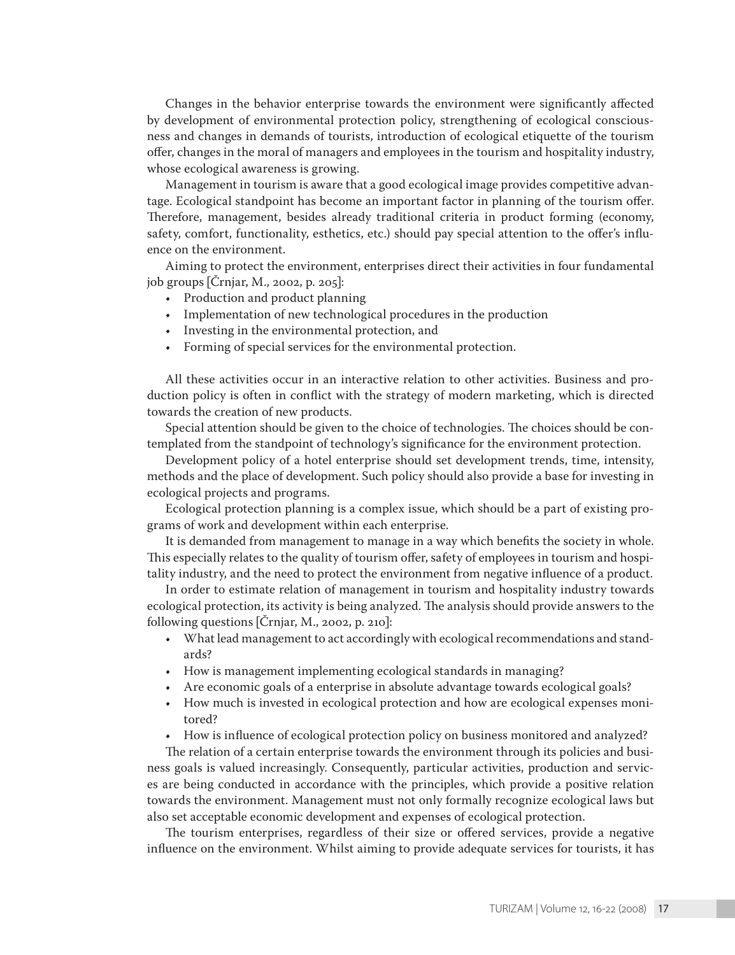Changes in the behavior enterprise towards the environment were significantly affected by development of environmental protection policy, strengthening of ecological consciousness and changes in demands of tourists, introduction of ecological etiquette of the tourism offer, changes in the moral of managers and employees in the tourism and hospitality industry, whose ecological awareness is growing.

Management in tourism is aware that a good ecological image provides competitive advantage. Ecological standpoint has become an important factor in planning of the tourism offer. Therefore, management, besides already traditional criteria in product forming (economy, safety, comfort, functionality, esthetics, etc.) should pay special attention to the offer's influence on the environment.

Aiming to protect the environment, enterprises direct their activities in four fundamental job groups [Črnjar, M., 2002, p. 205]:

- Production and product planning
- • Implementation of new technological procedures in the production
- • Investing in the environmental protection, and
- • Forming of special services for the environmental protection.

All these activities occur in an interactive relation to other activities. Business and production policy is often in conflict with the strategy of modern marketing, which is directed towards the creation of new products.

Special attention should be given to the choice of technologies. The choices should be contemplated from the standpoint of technology's significance for the environment protection.

Development policy of a hotel enterprise should set development trends, time, intensity, methods and the place of development. Such policy should also provide a base for investing in ecological projects and programs.

Ecological protection planning is a complex issue, which should be a part of existing programs of work and development within each enterprise.

It is demanded from management to manage in a way which benefits the society in whole. This especially relates to the quality of tourism offer, safety of employees in tourism and hospitality industry, and the need to protect the environment from negative influence of a product.

In order to estimate relation of management in tourism and hospitality industry towards ecological protection, its activity is being analyzed. The analysis should provide answers to the following questions [Črnjar, M., 2002, p. 210]:

- • What lead management to act accordingly with ecological recommendations and standards?
- How is management implementing ecological standards in managing?
- Are economic goals of a enterprise in absolute advantage towards ecological goals?
- How much is invested in ecological protection and how are ecological expenses monitored?
- How is influence of ecological protection policy on business monitored and analyzed?

The relation of a certain enterprise towards the environment through its policies and business goals is valued increasingly. Consequently, particular activities, production and services are being conducted in accordance with the principles, which provide a positive relation towards the environment. Management must not only formally recognize ecological laws but also set acceptable economic development and expenses of ecological protection.

The tourism enterprises, regardless of their size or offered services, provide a negative influence on the environment. Whilst aiming to provide adequate services for tourists, it has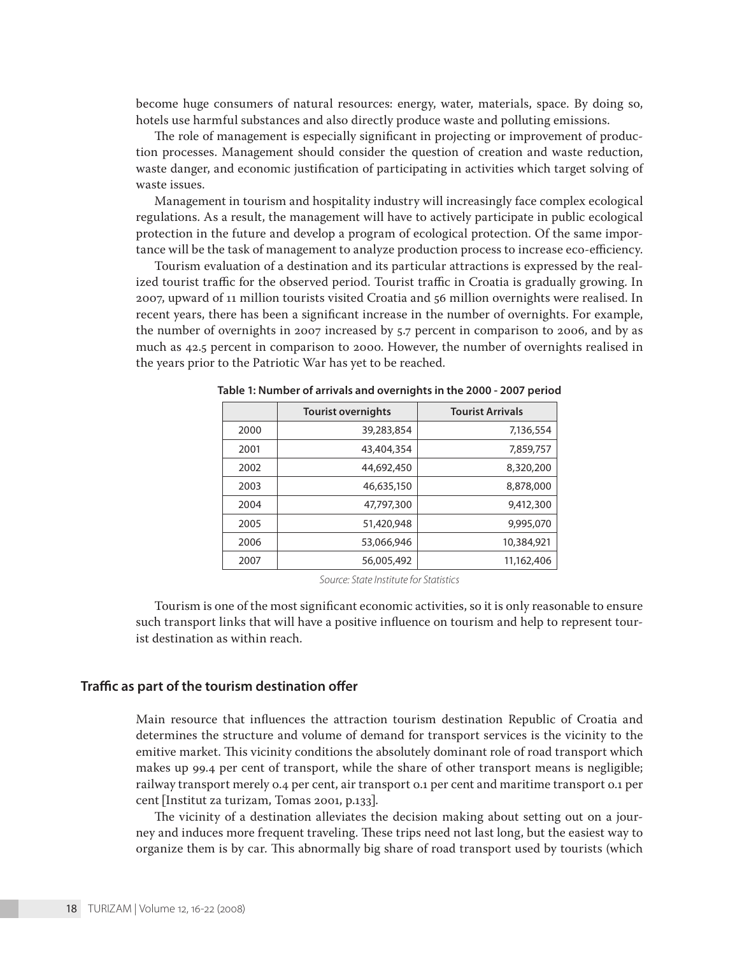become huge consumers of natural resources: energy, water, materials, space. By doing so, hotels use harmful substances and also directly produce waste and polluting emissions.

The role of management is especially significant in projecting or improvement of production processes. Management should consider the question of creation and waste reduction, waste danger, and economic justification of participating in activities which target solving of waste issues.

Management in tourism and hospitality industry will increasingly face complex ecological regulations. As a result, the management will have to actively participate in public ecological protection in the future and develop a program of ecological protection. Of the same importance will be the task of management to analyze production process to increase eco-efficiency.

Tourism evaluation of a destination and its particular attractions is expressed by the realized tourist traffic for the observed period. Tourist traffic in Croatia is gradually growing. In 2007, upward of 11 million tourists visited Croatia and 56 million overnights were realised. In recent years, there has been a significant increase in the number of overnights. For example, the number of overnights in 2007 increased by 5.7 percent in comparison to 2006, and by as much as 42.5 percent in comparison to 2000. However, the number of overnights realised in the years prior to the Patriotic War has yet to be reached.

|      | <b>Tourist overnights</b> | <b>Tourist Arrivals</b> |
|------|---------------------------|-------------------------|
| 2000 | 39,283,854                | 7,136,554               |
| 2001 | 43,404,354                | 7,859,757               |
| 2002 | 44,692,450                | 8,320,200               |
| 2003 | 46,635,150                | 8,878,000               |
| 2004 | 47,797,300                | 9,412,300               |
| 2005 | 51,420,948                | 9,995,070               |
| 2006 | 53,066,946                | 10,384,921              |
| 2007 | 56,005,492                | 11,162,406              |

**Table 1: Number of arrivals and overnights in the 2000 - 2007 period** 

*Source: State Institute for Statistics*

Tourism is one of the most significant economic activities, so it is only reasonable to ensure such transport links that will have a positive influence on tourism and help to represent tourist destination as within reach.

#### **Traffic as part of the tourism destination offer**

Main resource that influences the attraction tourism destination Republic of Croatia and determines the structure and volume of demand for transport services is the vicinity to the emitive market. This vicinity conditions the absolutely dominant role of road transport which makes up 99.4 per cent of transport, while the share of other transport means is negligible; railway transport merely 0.4 per cent, air transport 0.1 per cent and maritime transport 0.1 per cent [Institut za turizam, Tomas 2001, p.133].

The vicinity of a destination alleviates the decision making about setting out on a journey and induces more frequent traveling. These trips need not last long, but the easiest way to organize them is by car. This abnormally big share of road transport used by tourists (which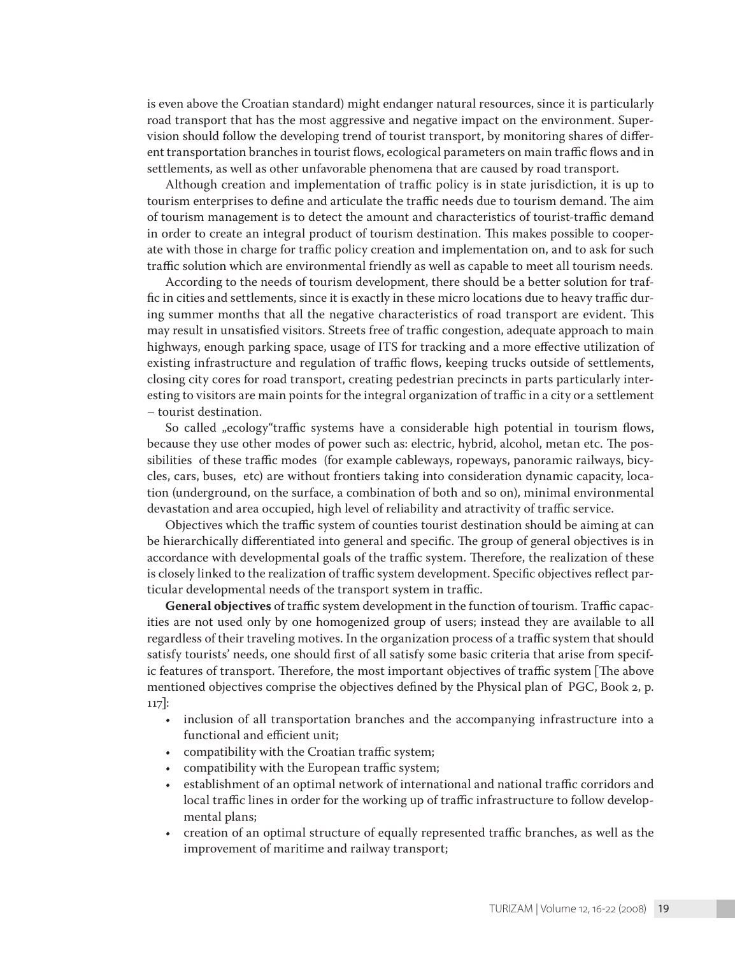is even above the Croatian standard) might endanger natural resources, since it is particularly road transport that has the most aggressive and negative impact on the environment. Supervision should follow the developing trend of tourist transport, by monitoring shares of different transportation branches in tourist flows, ecological parameters on main traffic flows and in settlements, as well as other unfavorable phenomena that are caused by road transport.

Although creation and implementation of traffic policy is in state jurisdiction, it is up to tourism enterprises to define and articulate the traffic needs due to tourism demand. The aim of tourism management is to detect the amount and characteristics of tourist-traffic demand in order to create an integral product of tourism destination. This makes possible to cooperate with those in charge for traffic policy creation and implementation on, and to ask for such traffic solution which are environmental friendly as well as capable to meet all tourism needs.

According to the needs of tourism development, there should be a better solution for traffic in cities and settlements, since it is exactly in these micro locations due to heavy traffic during summer months that all the negative characteristics of road transport are evident. This may result in unsatisfied visitors. Streets free of traffic congestion, adequate approach to main highways, enough parking space, usage of ITS for tracking and a more effective utilization of existing infrastructure and regulation of traffic flows, keeping trucks outside of settlements, closing city cores for road transport, creating pedestrian precincts in parts particularly interesting to visitors are main points for the integral organization of traffic in a city or a settlement – tourist destination.

So called "ecology"traffic systems have a considerable high potential in tourism flows, because they use other modes of power such as: electric, hybrid, alcohol, metan etc. The possibilities of these traffic modes (for example cableways, ropeways, panoramic railways, bicycles, cars, buses, etc) are without frontiers taking into consideration dynamic capacity, location (underground, on the surface, a combination of both and so on), minimal environmental devastation and area occupied, high level of reliability and atractivity of traffic service.

Objectives which the traffic system of counties tourist destination should be aiming at can be hierarchically differentiated into general and specific. The group of general objectives is in accordance with developmental goals of the traffic system. Therefore, the realization of these is closely linked to the realization of traffic system development. Specific objectives reflect particular developmental needs of the transport system in traffic.

**General objectives** of traffic system development in the function of tourism. Traffic capacities are not used only by one homogenized group of users; instead they are available to all regardless of their traveling motives. In the organization process of a traffic system that should satisfy tourists' needs, one should first of all satisfy some basic criteria that arise from specific features of transport. Therefore, the most important objectives of traffic system [The above mentioned objectives comprise the objectives defined by the Physical plan of PGC, Book 2, p. 117]:

- inclusion of all transportation branches and the accompanying infrastructure into a functional and efficient unit;
- compatibility with the Croatian traffic system;
- compatibility with the European traffic system;
- establishment of an optimal network of international and national traffic corridors and local traffic lines in order for the working up of traffic infrastructure to follow developmental plans;
- creation of an optimal structure of equally represented traffic branches, as well as the improvement of maritime and railway transport;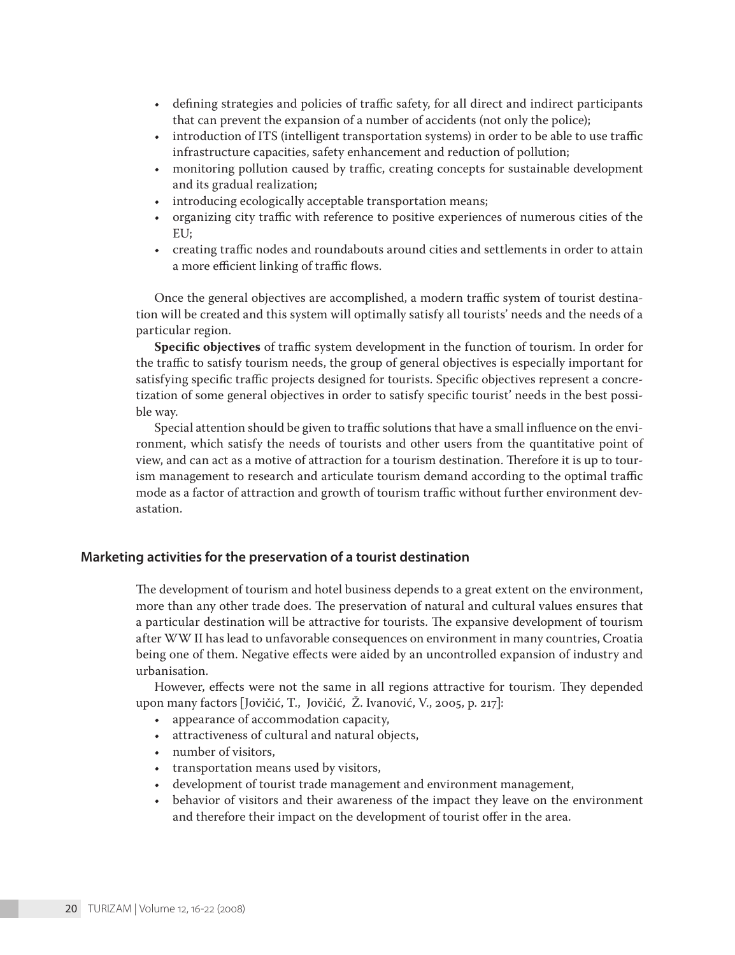- • defining strategies and policies of traffic safety, for all direct and indirect participants that can prevent the expansion of a number of accidents (not only the police);
- • introduction of ITS (intelligent transportation systems) in order to be able to use traffic infrastructure capacities, safety enhancement and reduction of pollution;
- monitoring pollution caused by traffic, creating concepts for sustainable development and its gradual realization;
- introducing ecologically acceptable transportation means;
- organizing city traffic with reference to positive experiences of numerous cities of the EU;
- • creating traffic nodes and roundabouts around cities and settlements in order to attain a more efficient linking of traffic flows.

Once the general objectives are accomplished, a modern traffic system of tourist destination will be created and this system will optimally satisfy all tourists' needs and the needs of a particular region.

**Specific objectives** of traffic system development in the function of tourism. In order for the traffic to satisfy tourism needs, the group of general objectives is especially important for satisfying specific traffic projects designed for tourists. Specific objectives represent a concretization of some general objectives in order to satisfy specific tourist' needs in the best possible way.

Special attention should be given to traffic solutions that have a small influence on the environment, which satisfy the needs of tourists and other users from the quantitative point of view, and can act as a motive of attraction for a tourism destination. Therefore it is up to tourism management to research and articulate tourism demand according to the optimal traffic mode as a factor of attraction and growth of tourism traffic without further environment devastation.

# **Marketing activities for the preservation of a tourist destination**

The development of tourism and hotel business depends to a great extent on the environment, more than any other trade does. The preservation of natural and cultural values ensures that a particular destination will be attractive for tourists. The expansive development of tourism after WW II has lead to unfavorable consequences on environment in many countries, Croatia being one of them. Negative effects were aided by an uncontrolled expansion of industry and urbanisation.

However, effects were not the same in all regions attractive for tourism. They depended upon many factors [Jovičić, T., Jovičić, Ž. Ivanović, V., 2005, p. 217]:

- • appearance of accommodation capacity,
- • attractiveness of cultural and natural objects,
- • number of visitors,
- • transportation means used by visitors,
- • development of tourist trade management and environment management,
- behavior of visitors and their awareness of the impact they leave on the environment and therefore their impact on the development of tourist offer in the area.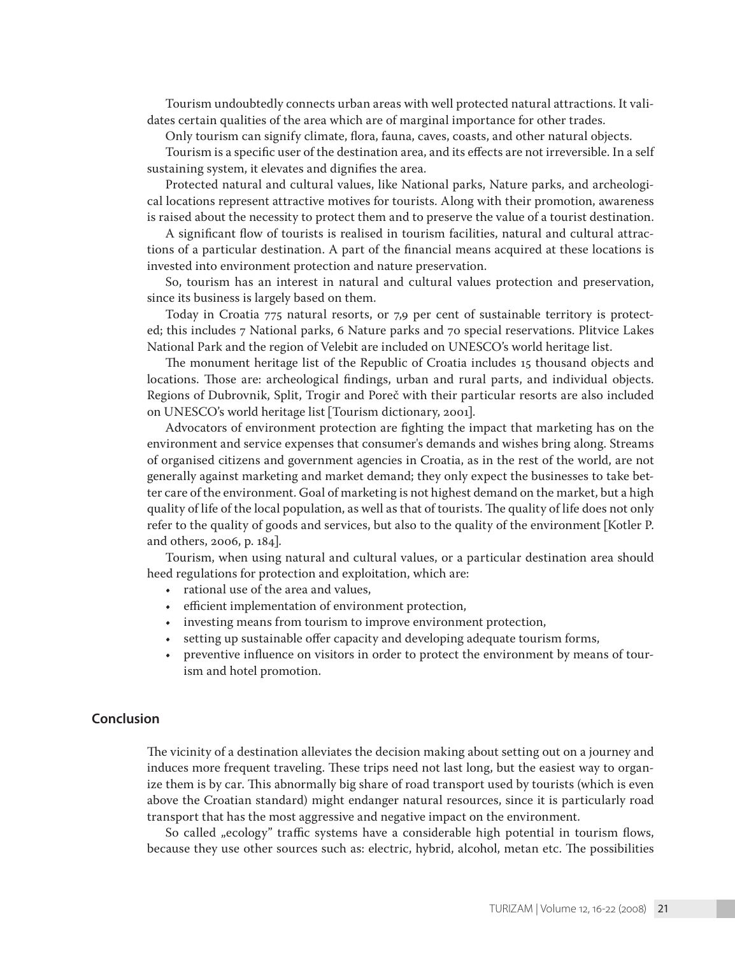Tourism undoubtedly connects urban areas with well protected natural attractions. It validates certain qualities of the area which are of marginal importance for other trades.

Only tourism can signify climate, flora, fauna, caves, coasts, and other natural objects.

Tourism is a specific user of the destination area, and its effects are not irreversible. In a self sustaining system, it elevates and dignifies the area.

Protected natural and cultural values, like National parks, Nature parks, and archeological locations represent attractive motives for tourists. Along with their promotion, awareness is raised about the necessity to protect them and to preserve the value of a tourist destination.

A significant flow of tourists is realised in tourism facilities, natural and cultural attractions of a particular destination. A part of the financial means acquired at these locations is invested into environment protection and nature preservation.

So, tourism has an interest in natural and cultural values protection and preservation, since its business is largely based on them.

Today in Croatia 775 natural resorts, or 7,9 per cent of sustainable territory is protected; this includes 7 National parks, 6 Nature parks and 70 special reservations. Plitvice Lakes National Park and the region of Velebit are included on UNESCO's world heritage list.

The monument heritage list of the Republic of Croatia includes 15 thousand objects and locations. Those are: archeological findings, urban and rural parts, and individual objects. Regions of Dubrovnik, Split, Trogir and Poreč with their particular resorts are also included on UNESCO's world heritage list [Tourism dictionary, 2001].

Advocators of environment protection are fighting the impact that marketing has on the environment and service expenses that consumer's demands and wishes bring along. Streams of organised citizens and government agencies in Croatia, as in the rest of the world, are not generally against marketing and market demand; they only expect the businesses to take better care of the environment. Goal of marketing is not highest demand on the market, but a high quality of life of the local population, as well as that of tourists. The quality of life does not only refer to the quality of goods and services, but also to the quality of the environment [Kotler P. and others, 2006, p. 184].

Tourism, when using natural and cultural values, or a particular destination area should heed regulations for protection and exploitation, which are:

- rational use of the area and values,
- • efficient implementation of environment protection,
- • investing means from tourism to improve environment protection,
- • setting up sustainable offer capacity and developing adequate tourism forms,
- • preventive influence on visitors in order to protect the environment by means of tourism and hotel promotion.

# **Conclusion**

The vicinity of a destination alleviates the decision making about setting out on a journey and induces more frequent traveling. These trips need not last long, but the easiest way to organize them is by car. This abnormally big share of road transport used by tourists (which is even above the Croatian standard) might endanger natural resources, since it is particularly road transport that has the most aggressive and negative impact on the environment.

So called "ecology" traffic systems have a considerable high potential in tourism flows, because they use other sources such as: electric, hybrid, alcohol, metan etc. The possibilities